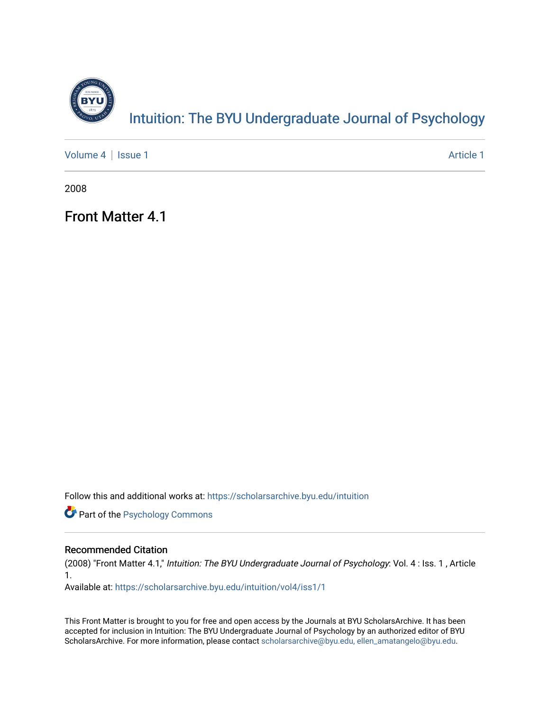

[Volume 4](https://scholarsarchive.byu.edu/intuition/vol4) | [Issue 1](https://scholarsarchive.byu.edu/intuition/vol4/iss1) Article 1

2008

Front Matter 4.1

Follow this and additional works at: [https://scholarsarchive.byu.edu/intuition](https://scholarsarchive.byu.edu/intuition?utm_source=scholarsarchive.byu.edu%2Fintuition%2Fvol4%2Fiss1%2F1&utm_medium=PDF&utm_campaign=PDFCoverPages) 

**Part of the Psychology Commons** 

#### Recommended Citation

(2008) "Front Matter 4.1," Intuition: The BYU Undergraduate Journal of Psychology: Vol. 4 : Iss. 1 , Article 1.

Available at: [https://scholarsarchive.byu.edu/intuition/vol4/iss1/1](https://scholarsarchive.byu.edu/intuition/vol4/iss1/1?utm_source=scholarsarchive.byu.edu%2Fintuition%2Fvol4%2Fiss1%2F1&utm_medium=PDF&utm_campaign=PDFCoverPages)

This Front Matter is brought to you for free and open access by the Journals at BYU ScholarsArchive. It has been accepted for inclusion in Intuition: The BYU Undergraduate Journal of Psychology by an authorized editor of BYU ScholarsArchive. For more information, please contact [scholarsarchive@byu.edu, ellen\\_amatangelo@byu.edu.](mailto:scholarsarchive@byu.edu,%20ellen_amatangelo@byu.edu)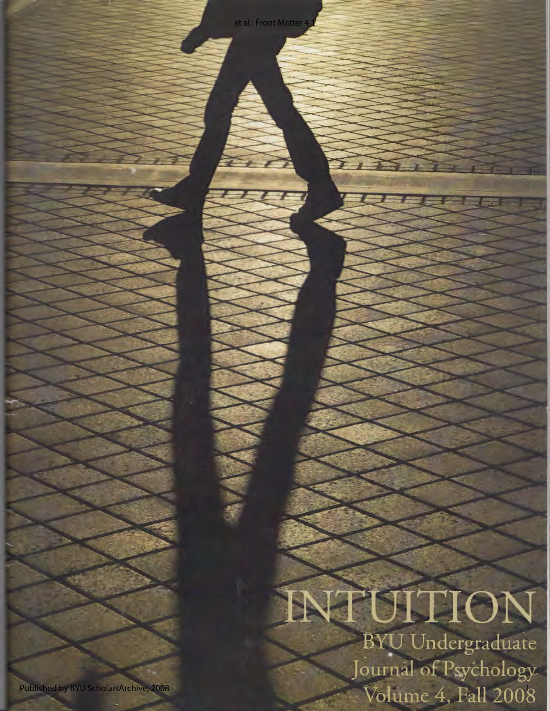# INTUITION

BYU Undergraduate Journal of Psychology<br>Volume 4, Fall 2008

Published by BYU ScholarsArchive, 2008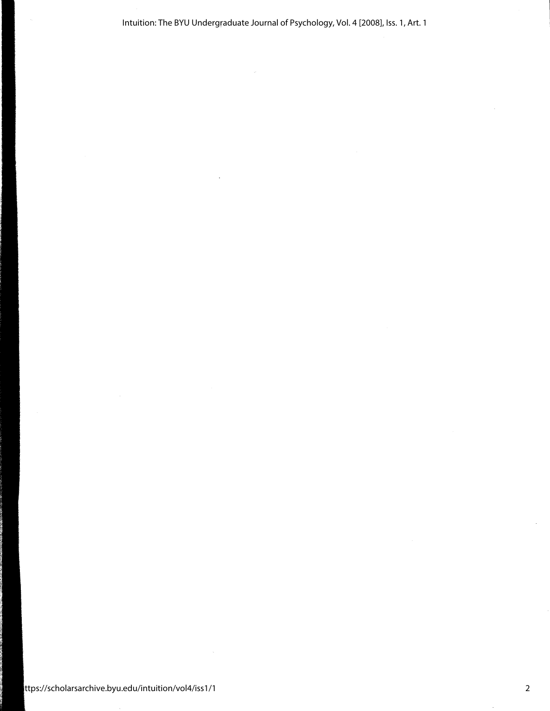https://scholarsarchive.byu.edu/intuition/vol4/iss1/1

2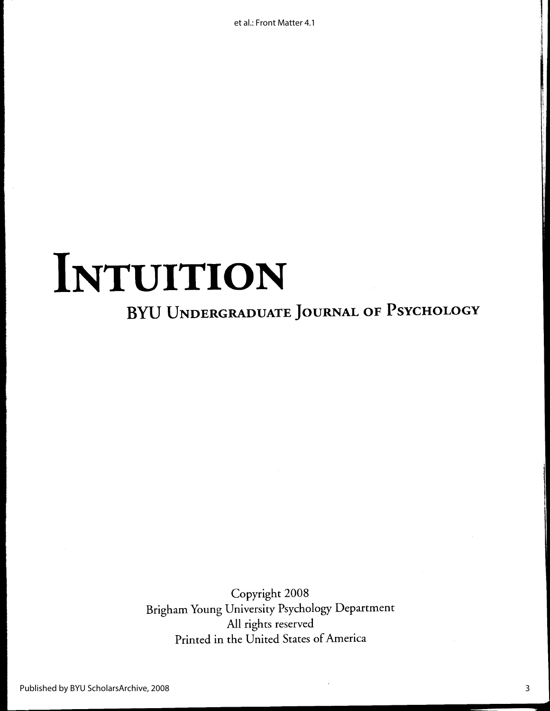## **INTUITION**

## **BYU UNDERGRADUATE JOURNAL OF PSYCHOLOGY**

Copyright 2008 Brigham Young University Psychology Department All rights reserved Printed in the United States of America

3

 $\overline{\phantom{a}}$ 

I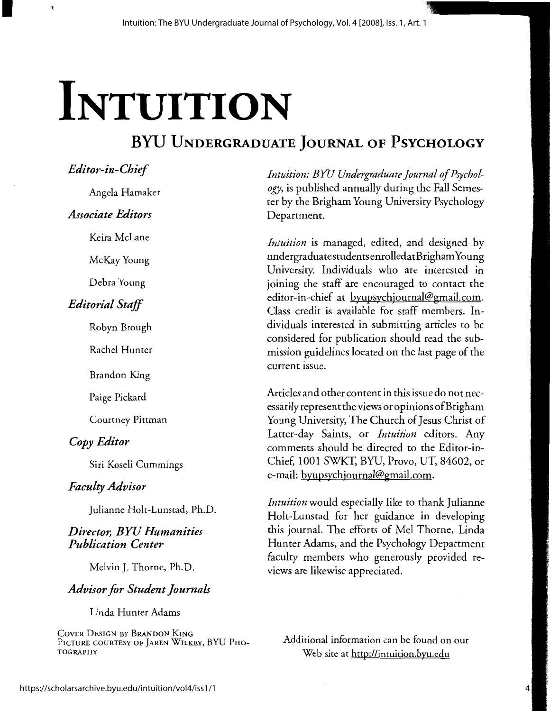## **INTUITION**

### **BYU UNDERGRADUATE JOURNAL OF PSYCHOLOGY**

#### *Editor-in-Chief*

I

Angela Hamaker

#### *Associate Editors*

Keira Mclane McKay Young Debra Young *Editorial Staff*  Robyn Brough

Rachel Hunter

Brandon King

Paige Pickard

Courtney Pittman

#### *Copy Editor*

Siri Koseli Cummings

#### *Faculty Advisor*

Julianne Holt-Lunstad, Ph.D.

#### *Director, BYU Humanities Publication Center*

Melvin J. Thorne, Ph.D.

#### *Advisor for Student Journals*

Linda Hunter Adams

COVER DESIGN BY BRANDON KING PICTURE COURTESY OF *]AREN* WILKEY, BYU PHO-TOGRAPHY

*Intuition: B YU Undergraduate] ournal of Psychology,* is published annually during the Fall Semester by the Brigham Young University Psychology Department.

*Intuition* is managed, edited, and designed by undergraduatestuden tsenrolledatBrigham Young University. Individuals who are interested in joining the staff are encouraged to contact the editor-in-chief at byupsychjournal@gmail.com. Class credit is available for staff members. Individuals interested in submitting articles to be considered for publication should read the submission guidelines located on the last page of the current issue.

Articles and other content in this issue do not necessarily represent the views or opinions of Brigham Young University, The Church of Jesus Christ of Latter-day Saints, or *Intuition* editors. Any comments should be directed to the Editor-in-Chief, 1001 SWKT, BYU, Provo, UT, 84602, or e-mail: byupsychjournal@gmail.com.

*Intuition* would especially like to thank Julianne Holt-Lunstad for her guidance in developing this journal. The efforts of Mel Thorne, Linda Hunter Adams, and the Psychology Department faculty members who generously provided reviews are likewise appreciated.

Additional information can be found on our Web site at http://intuition.byu.edu

4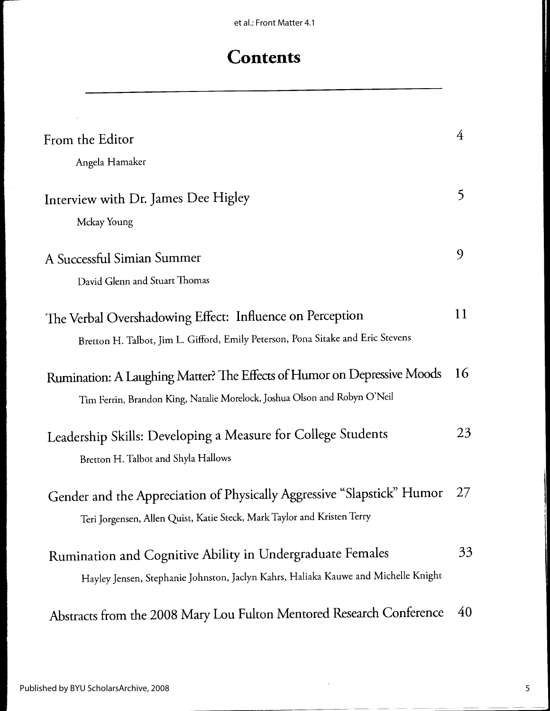### **Contents**

| From the Editor                                                                    | 4  |
|------------------------------------------------------------------------------------|----|
| Angela Hamaker                                                                     |    |
| Interview with Dr. James Dee Higley                                                | 5  |
| Mckay Young                                                                        |    |
| A Successful Simian Summer                                                         | 9  |
| David Glenn and Stuart Thomas                                                      |    |
| The Verbal Overshadowing Effect: Influence on Perception                           | 11 |
| Bretton H. Talbot, Jim L. Gifford, Emily Peterson, Pona Sitake and Eric Stevens    |    |
| Rumination: A Laughing Matter? The Effects of Humor on Depressive Moods            | 16 |
| Tim Ferrin, Brandon King, Natalie Morelock, Joshua Olson and Robyn O'Neil          |    |
| Leadership Skills: Developing a Measure for College Students                       | 23 |
| Bretton H. Talbot and Shyla Hallows                                                |    |
| Gender and the Appreciation of Physically Aggressive "Slapstick" Humor             | 27 |
| Teri Jorgensen, Allen Quist, Katie Steck, Mark Taylor and Kristen Terry            |    |
| Rumination and Cognitive Ability in Undergraduate Females                          | 33 |
| Hayley Jensen, Stephanie Johnston, Jaclyn Kahrs, Haliaka Kauwe and Michelle Knight |    |
| Abstracts from the 2008 Mary Lou Fulton Mentored Research Conference               | 40 |
|                                                                                    |    |

5